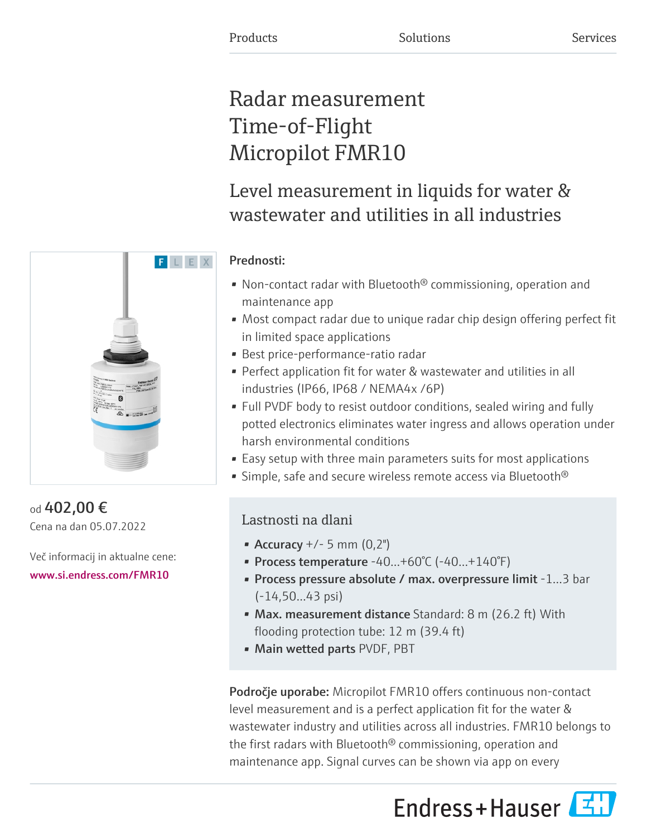# Radar measurement Time-of-Flight Micropilot FMR10

Level measurement in liquids for water & wastewater and utilities in all industries

### Prednosti:

- Non-contact radar with Bluetooth<sup>®</sup> commissioning, operation and maintenance app
- Most compact radar due to unique radar chip design offering perfect fit in limited space applications
- Best price-performance-ratio radar
- Perfect application fit for water & wastewater and utilities in all industries (IP66, IP68 / NEMA4x /6P)
- Full PVDF body to resist outdoor conditions, sealed wiring and fully potted electronics eliminates water ingress and allows operation under harsh environmental conditions
- Easy setup with three main parameters suits for most applications
- Simple, safe and secure wireless remote access via Bluetooth<sup>®</sup>

## Lastnosti na dlani

- Accuracy  $+/- 5$  mm  $(0,2")$
- Process temperature  $-40...+60°C$  ( $-40...+140°F$ )
- Process pressure absolute / max. overpressure limit -1…3 bar (-14,50…43 psi)
- Max. measurement distance Standard: 8 m (26.2 ft) With flooding protection tube: 12 m (39.4 ft)
- Main wetted parts PVDF, PBT

Področje uporabe: Micropilot FMR10 offers continuous non-contact level measurement and is a perfect application fit for the water & wastewater industry and utilities across all industries. FMR10 belongs to the first radars with Bluetooth® commissioning, operation and maintenance app. Signal curves can be shown via app on every





### od 402,00 € Cena na dan 05.07.2022

Več informacij in aktualne cene: [www.si.endress.com/FMR10](https://www.si.endress.com/FMR10)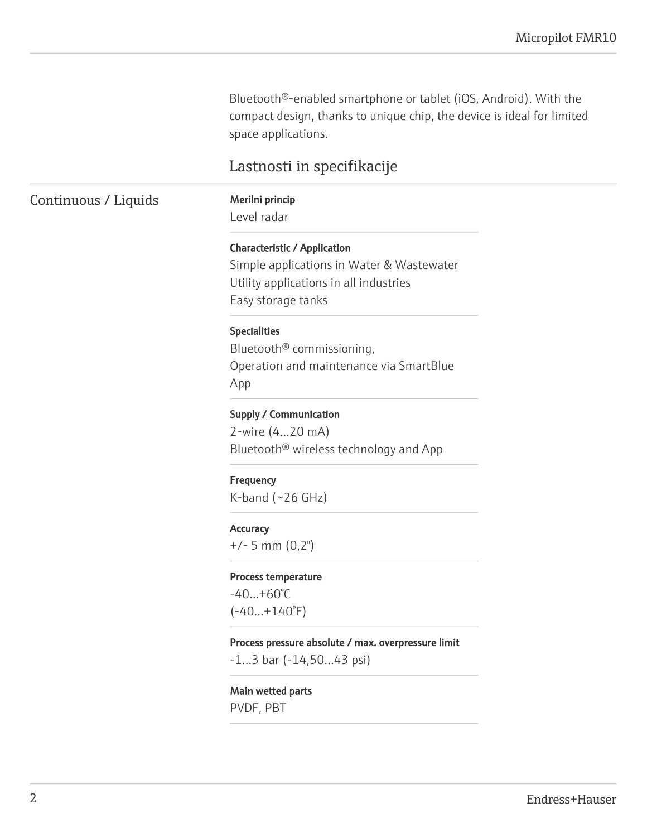Bluetooth®-enabled smartphone or tablet (iOS, Android). With the compact design, thanks to unique chip, the device is ideal for limited space applications.

### Lastnosti in specifikacije

### Continuous / Liquids Merilni princip

Level radar

#### Characteristic / Application

Simple applications in Water & Wastewater Utility applications in all industries Easy storage tanks

#### Specialities

Bluetooth® commissioning, Operation and maintenance via SmartBlue App

#### Supply / Communication

2-wire (4…20 mA) Bluetooth® wireless technology and App

#### **Frequency**

 $K$ -band (~26 GHz)

#### **Accuracy**

+/- 5 mm (0,2")

#### Process temperature

-40…+60°C  $(-40...+140°F)$ 

#### Process pressure absolute / max. overpressure limit

-1…3 bar (-14,50…43 psi)

#### Main wetted parts

PVDF, PBT